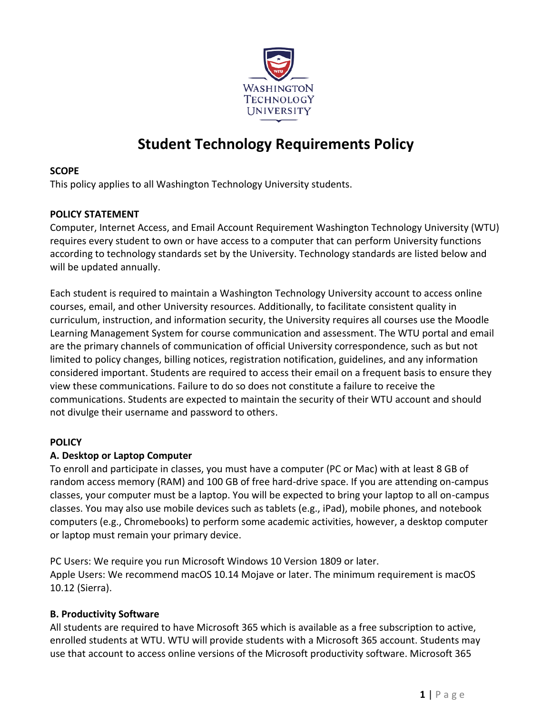

# **Student Technology Requirements Policy**

#### **SCOPE**

This policy applies to all Washington Technology University students.

## **POLICY STATEMENT**

Computer, Internet Access, and Email Account Requirement Washington Technology University (WTU) requires every student to own or have access to a computer that can perform University functions according to technology standards set by the University. Technology standards are listed below and will be updated annually.

Each student is required to maintain a Washington Technology University account to access online courses, email, and other University resources. Additionally, to facilitate consistent quality in curriculum, instruction, and information security, the University requires all courses use the Moodle Learning Management System for course communication and assessment. The WTU portal and email are the primary channels of communication of official University correspondence, such as but not limited to policy changes, billing notices, registration notification, guidelines, and any information considered important. Students are required to access their email on a frequent basis to ensure they view these communications. Failure to do so does not constitute a failure to receive the communications. Students are expected to maintain the security of their WTU account and should not divulge their username and password to others.

# **POLICY**

#### **A. Desktop or Laptop Computer**

To enroll and participate in classes, you must have a computer (PC or Mac) with at least 8 GB of random access memory (RAM) and 100 GB of free hard-drive space. If you are attending on-campus classes, your computer must be a laptop. You will be expected to bring your laptop to all on-campus classes. You may also use mobile devices such as tablets (e.g., iPad), mobile phones, and notebook computers (e.g., Chromebooks) to perform some academic activities, however, a desktop computer or laptop must remain your primary device.

PC Users: We require you run Microsoft Windows 10 Version 1809 or later. Apple Users: We recommend macOS 10.14 Mojave or later. The minimum requirement is macOS 10.12 (Sierra).

# **B. Productivity Software**

All students are required to have Microsoft 365 which is available as a free subscription to active, enrolled students at WTU. WTU will provide students with a Microsoft 365 account. Students may use that account to access online versions of the Microsoft productivity software. Microsoft 365